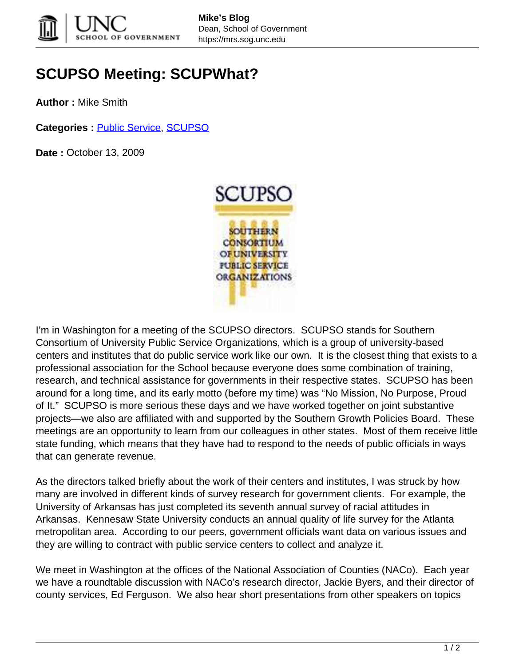

## **SCUPSO Meeting: SCUPWhat?**

**Author :** Mike Smith

**Categories :** [Public Service](https://mrs.sog.unc.edu/category/publicservice/), [SCUPSO](https://mrs.sog.unc.edu/category/scupso/)

**Date :** October 13, 2009



I'm in Washington for a meeting of the SCUPSO directors. SCUPSO stands for Southern Consortium of University Public Service Organizations, which is a group of university-based centers and institutes that do public service work like our own. It is the closest thing that exists to a professional association for the School because everyone does some combination of training, research, and technical assistance for governments in their respective states. SCUPSO has been around for a long time, and its early motto (before my time) was "No Mission, No Purpose, Proud of It." SCUPSO is more serious these days and we have worked together on joint substantive projects—we also are affiliated with and supported by the Southern Growth Policies Board. These meetings are an opportunity to learn from our colleagues in other states. Most of them receive little state funding, which means that they have had to respond to the needs of public officials in ways that can generate revenue.

As the directors talked briefly about the work of their centers and institutes, I was struck by how many are involved in different kinds of survey research for government clients. For example, the University of Arkansas has just completed its seventh annual survey of racial attitudes in Arkansas. Kennesaw State University conducts an annual quality of life survey for the Atlanta metropolitan area. According to our peers, government officials want data on various issues and they are willing to contract with public service centers to collect and analyze it.

We meet in Washington at the offices of the National Association of Counties (NACo). Each year we have a roundtable discussion with NACo's research director, Jackie Byers, and their director of county services, Ed Ferguson. We also hear short presentations from other speakers on topics